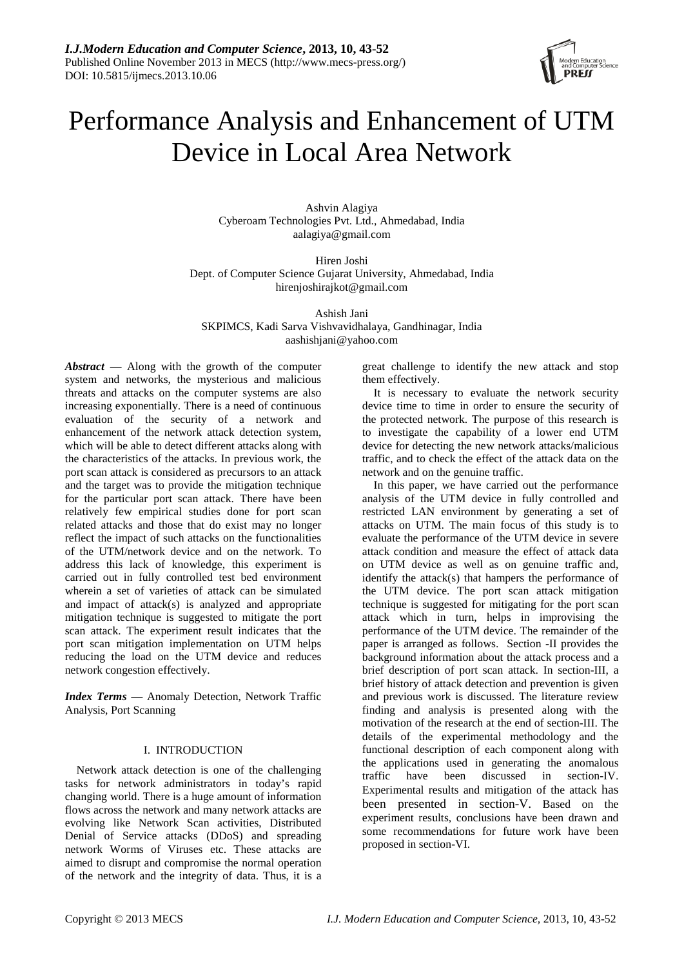

# Performance Analysis and Enhancement of UTM Device in Local Area Network

Ashvin Alagiya Cyberoam Technologies Pvt. Ltd., Ahmedabad, India aalagiya@gmail.com

Hiren Joshi Dept. of Computer Science Gujarat University, Ahmedabad, India hirenjoshirajkot@gmail.com

Ashish Jani SKPIMCS, Kadi Sarva Vishvavidhalaya, Gandhinagar, India [aashishjani@yahoo.com](mailto:aashishjani@yahoo.com)

*Abstract* **—** Along with the growth of the computer system and networks, the mysterious and malicious threats and attacks on the computer systems are also increasing exponentially. There is a need of continuous evaluation of the security of a network and enhancement of the network attack detection system, which will be able to detect different attacks along with the characteristics of the attacks. In previous work, the port scan attack is considered as precursors to an attack and the target was to provide the mitigation technique for the particular port scan attack. There have been relatively few empirical studies done for port scan related attacks and those that do exist may no longer reflect the impact of such attacks on the functionalities of the UTM/network device and on the network. To address this lack of knowledge, this experiment is carried out in fully controlled test bed environment wherein a set of varieties of attack can be simulated and impact of attack(s) is analyzed and appropriate mitigation technique is suggested to mitigate the port scan attack. The experiment result indicates that the port scan mitigation implementation on UTM helps reducing the load on the UTM device and reduces network congestion effectively.

*Index Terms* **—** Anomaly Detection, Network Traffic Analysis, Port Scanning

# I. INTRODUCTION

Network attack detection is one of the challenging tasks for network administrators in today's rapid changing world. There is a huge amount of information flows across the network and many network attacks are evolving like Network Scan activities, Distributed Denial of Service attacks (DDoS) and spreading network Worms of Viruses etc. These attacks are aimed to disrupt and compromise the normal operation of the network and the integrity of data. Thus, it is a

great challenge to identify the new attack and stop them effectively.

It is necessary to evaluate the network security device time to time in order to ensure the security of the protected network. The purpose of this research is to investigate the capability of a lower end UTM device for detecting the new network attacks/malicious traffic, and to check the effect of the attack data on the network and on the genuine traffic.

In this paper, we have carried out the performance analysis of the UTM device in fully controlled and restricted LAN environment by generating a set of attacks on UTM. The main focus of this study is to evaluate the performance of the UTM device in severe attack condition and measure the effect of attack data on UTM device as well as on genuine traffic and, identify the attack(s) that hampers the performance of the UTM device. The port scan attack mitigation technique is suggested for mitigating for the port scan attack which in turn, helps in improvising the performance of the UTM device. The remainder of the paper is arranged as follows. Section -II provides the background information about the attack process and a brief description of port scan attack. In section-III, a brief history of attack detection and prevention is given and previous work is discussed. The literature review finding and analysis is presented along with the motivation of the research at the end of section-III. The details of the experimental methodology and the functional description of each component along with the applications used in generating the anomalous traffic have been discussed in section-IV. Experimental results and mitigation of the attack has been presented in section-V. Based on the experiment results, conclusions have been drawn and some recommendations for future work have been proposed in section-VI.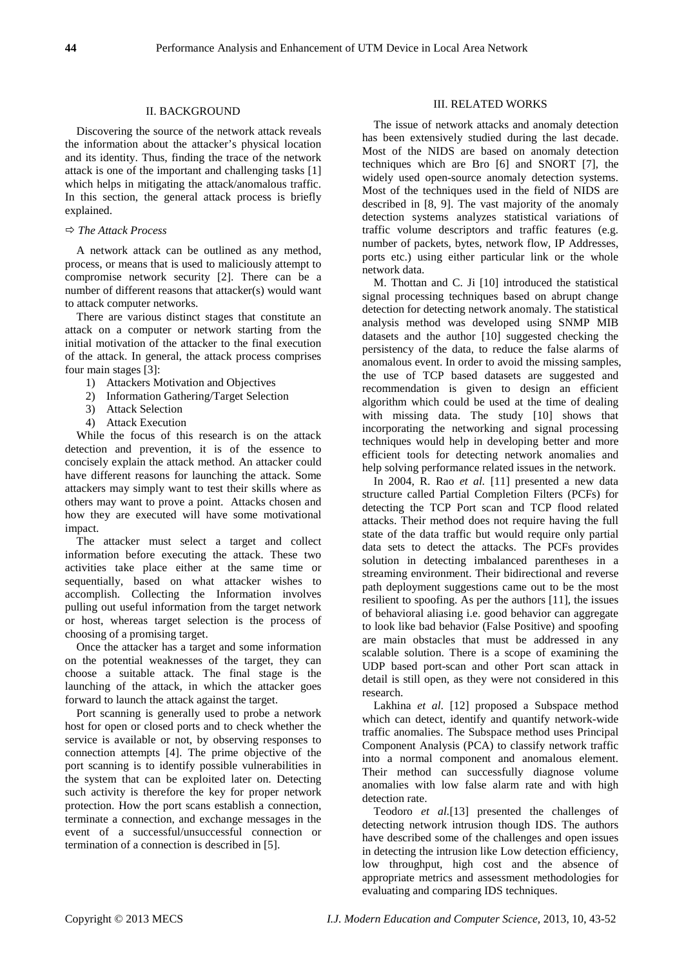## II. BACKGROUND

Discovering the source of the network attack reveals the information about the attacker's physical location and its identity. Thus, finding the trace of the network attack is one of the important and challenging tasks [1] which helps in mitigating the attack/anomalous traffic. In this section, the general attack process is briefly explained.

## *The Attack Process*

A network attack can be outlined as any method, process, or means that is used to maliciously attempt to compromise network security [2]. There can be a number of different reasons that attacker(s) would want to attack computer networks.

There are various distinct stages that constitute an attack on a computer or network starting from the initial motivation of the attacker to the final execution of the attack. In general, the attack process comprises four main stages [3]:

- 1) Attackers Motivation and Objectives
- 2) Information Gathering/Target Selection
- 3) Attack Selection
- 4) Attack Execution

While the focus of this research is on the attack detection and prevention, it is of the essence to concisely explain the attack method. An attacker could have different reasons for launching the attack. Some attackers may simply want to test their skills where as others may want to prove a point. Attacks chosen and how they are executed will have some motivational impact.

The attacker must select a target and collect information before executing the attack. These two activities take place either at the same time or sequentially, based on what attacker wishes to accomplish. Collecting the Information involves pulling out useful information from the target network or host, whereas target selection is the process of choosing of a promising target.

Once the attacker has a target and some information on the potential weaknesses of the target, they can choose a suitable attack. The final stage is the launching of the attack, in which the attacker goes forward to launch the attack against the target.

Port scanning is generally used to probe a network host for open or closed ports and to check whether the service is available or not, by observing responses to connection attempts [4]. The prime objective of the port scanning is to identify possible vulnerabilities in the system that can be exploited later on. Detecting such activity is therefore the key for proper network protection. How the port scans establish a connection, terminate a connection, and exchange messages in the event of a successful/unsuccessful connection or termination of a connection is described in [5].

## III. RELATED WORKS

The issue of network attacks and anomaly detection has been extensively studied during the last decade. Most of the NIDS are based on anomaly detection techniques which are Bro [6] and SNORT [7], the widely used open-source anomaly detection systems. Most of the techniques used in the field of NIDS are described in [8, 9]. The vast majority of the anomaly detection systems analyzes statistical variations of traffic volume descriptors and traffic features (e.g. number of packets, bytes, network flow, IP Addresses, ports etc.) using either particular link or the whole network data.

M. Thottan and C. Ji [10] introduced the statistical signal processing techniques based on abrupt change detection for detecting network anomaly. The statistical analysis method was developed using SNMP MIB datasets and the author [10] suggested checking the persistency of the data, to reduce the false alarms of anomalous event. In order to avoid the missing samples, the use of TCP based datasets are suggested and recommendation is given to design an efficient algorithm which could be used at the time of dealing with missing data. The study [10] shows that incorporating the networking and signal processing techniques would help in developing better and more efficient tools for detecting network anomalies and help solving performance related issues in the network.

In 2004, R. Rao *et al.* [11] presented a new data structure called Partial Completion Filters (PCFs) for detecting the TCP Port scan and TCP flood related attacks. Their method does not require having the full state of the data traffic but would require only partial data sets to detect the attacks. The PCFs provides solution in detecting imbalanced parentheses in a streaming environment. Their bidirectional and reverse path deployment suggestions came out to be the most resilient to spoofing. As per the authors [11], the issues of behavioral aliasing i.e. good behavior can aggregate to look like bad behavior (False Positive) and spoofing are main obstacles that must be addressed in any scalable solution. There is a scope of examining the UDP based port-scan and other Port scan attack in detail is still open, as they were not considered in this research.

Lakhina *et al*. [12] proposed a Subspace method which can detect, identify and quantify network-wide traffic anomalies. The Subspace method uses Principal Component Analysis (PCA) to classify network traffic into a normal component and anomalous element. Their method can successfully diagnose volume anomalies with low false alarm rate and with high detection rate.

Teodoro *et al.*[13] presented the challenges of detecting network intrusion though IDS. The authors have described some of the challenges and open issues in detecting the intrusion like Low detection efficiency, low throughput, high cost and the absence of appropriate metrics and assessment methodologies for evaluating and comparing IDS techniques.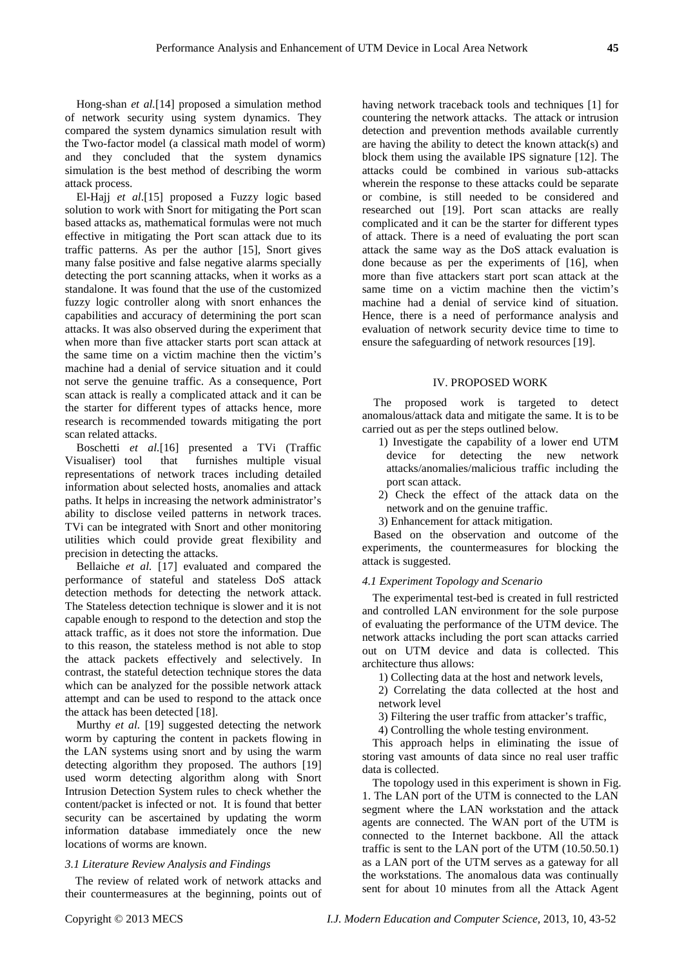Hong-shan *et al.*[14] proposed a simulation method of network security using system dynamics. They compared the system dynamics simulation result with the Two-factor model (a classical math model of worm) and they concluded that the system dynamics simulation is the best method of describing the worm attack process.

El-Hajj *et al*.[15] proposed a Fuzzy logic based solution to work with Snort for mitigating the Port scan based attacks as, mathematical formulas were not much effective in mitigating the Port scan attack due to its traffic patterns. As per the author [15], Snort gives many false positive and false negative alarms specially detecting the port scanning attacks, when it works as a standalone. It was found that the use of the customized fuzzy logic controller along with snort enhances the capabilities and accuracy of determining the port scan attacks. It was also observed during the experiment that when more than five attacker starts port scan attack at the same time on a victim machine then the victim's machine had a denial of service situation and it could not serve the genuine traffic. As a consequence, Port scan attack is really a complicated attack and it can be the starter for different types of attacks hence, more research is recommended towards mitigating the port scan related attacks.

Boschetti *et al.*[16] presented a TVi (Traffic Visualiser) tool that furnishes multiple visual representations of network traces including detailed information about selected hosts, anomalies and attack paths. It helps in increasing the network administrator's ability to disclose veiled patterns in network traces. TVi can be integrated with Snort and other monitoring utilities which could provide great flexibility and precision in detecting the attacks.

Bellaiche *et al.* [17] evaluated and compared the performance of stateful and stateless DoS attack detection methods for detecting the network attack. The Stateless detection technique is slower and it is not capable enough to respond to the detection and stop the attack traffic, as it does not store the information. Due to this reason, the stateless method is not able to stop the attack packets effectively and selectively. In contrast, the stateful detection technique stores the data which can be analyzed for the possible network attack attempt and can be used to respond to the attack once the attack has been detected [18].

Murthy *et al.* [19] suggested detecting the network worm by capturing the content in packets flowing in the LAN systems using snort and by using the warm detecting algorithm they proposed. The authors [19] used worm detecting algorithm along with Snort Intrusion Detection System rules to check whether the content/packet is infected or not. It is found that better security can be ascertained by updating the worm information database immediately once the new locations of worms are known.

## *3.1 Literature Review Analysis and Findings*

The review of related work of network attacks and their countermeasures at the beginning, points out of having network traceback tools and techniques [1] for countering the network attacks. The attack or intrusion detection and prevention methods available currently are having the ability to detect the known attack(s) and block them using the available IPS signature [12]. The attacks could be combined in various sub-attacks wherein the response to these attacks could be separate or combine, is still needed to be considered and researched out [19]. Port scan attacks are really complicated and it can be the starter for different types of attack. There is a need of evaluating the port scan attack the same way as the DoS attack evaluation is done because as per the experiments of [16], when more than five attackers start port scan attack at the same time on a victim machine then the victim's machine had a denial of service kind of situation. Hence, there is a need of performance analysis and evaluation of network security device time to time to ensure the safeguarding of network resources [19].

## IV. PROPOSED WORK

The proposed work is targeted to detect anomalous/attack data and mitigate the same. It is to be carried out as per the steps outlined below.

- 1) Investigate the capability of a lower end UTM device for detecting the new network attacks/anomalies/malicious traffic including the port scan attack.
- 2) Check the effect of the attack data on the network and on the genuine traffic.
- 3) Enhancement for attack mitigation.

Based on the observation and outcome of the experiments, the countermeasures for blocking the attack is suggested.

#### *4.1 Experiment Topology and Scenario*

The experimental test-bed is created in full restricted and controlled LAN environment for the sole purpose of evaluating the performance of the UTM device. The network attacks including the port scan attacks carried out on UTM device and data is collected. This architecture thus allows:

1) Collecting data at the host and network levels,

2) Correlating the data collected at the host and network level

3) Filtering the user traffic from attacker's traffic,

4) Controlling the whole testing environment.

This approach helps in eliminating the issue of storing vast amounts of data since no real user traffic data is collected.

The topology used in this experiment is shown in Fig. 1. The LAN port of the UTM is connected to the LAN segment where the LAN workstation and the attack agents are connected. The WAN port of the UTM is connected to the Internet backbone. All the attack traffic is sent to the LAN port of the UTM (10.50.50.1) as a LAN port of the UTM serves as a gateway for all the workstations. The anomalous data was continually sent for about 10 minutes from all the Attack Agent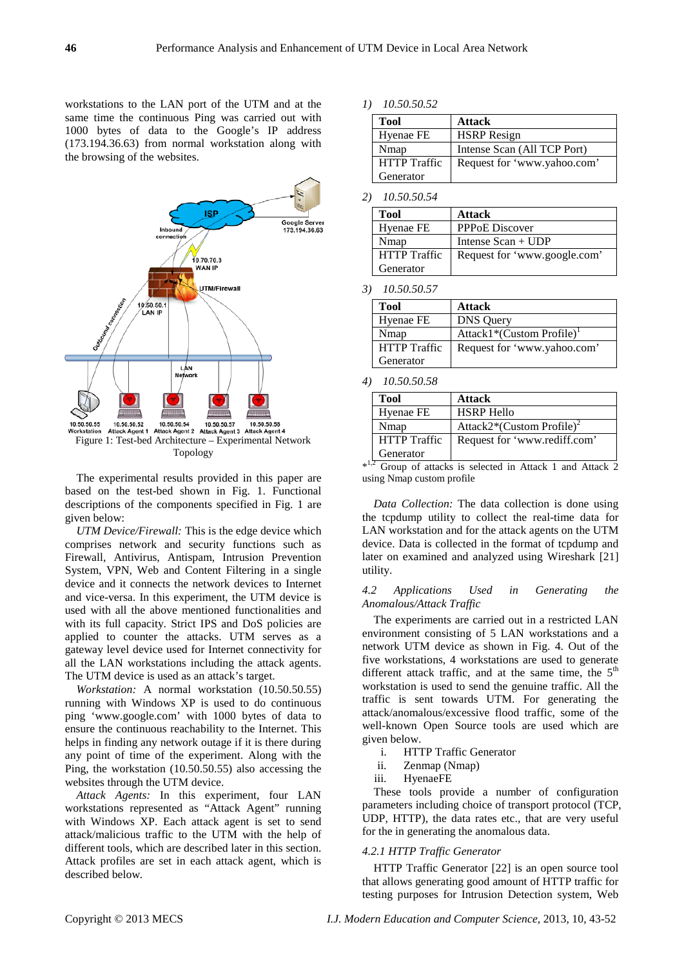workstations to the LAN port of the UTM and at the same time the continuous Ping was carried out with 1000 bytes of data to the Google's IP address (173.194.36.63) from normal workstation along with the browsing of the websites.



The experimental results provided in this paper are based on the test-bed shown in Fig. 1. Functional descriptions of the components specified in Fig. 1 are given below:

*UTM Device/Firewall:* This is the edge device which comprises network and security functions such as Firewall, Antivirus, Antispam, Intrusion Prevention System, VPN, Web and Content Filtering in a single device and it connects the network devices to Internet and vice-versa. In this experiment, the UTM device is used with all the above mentioned functionalities and with its full capacity. Strict IPS and DoS policies are applied to counter the attacks. UTM serves as a gateway level device used for Internet connectivity for all the LAN workstations including the attack agents. The UTM device is used as an attack's target.

*Workstation:* A normal workstation (10.50.50.55) running with Windows XP is used to do continuous ping 'www.google.com' with 1000 bytes of data to ensure the continuous reachability to the Internet. This helps in finding any network outage if it is there during any point of time of the experiment. Along with the Ping, the workstation (10.50.50.55) also accessing the websites through the UTM device.

*Attack Agents:* In this experiment, four LAN workstations represented as "Attack Agent" running with Windows XP. Each attack agent is set to send attack/malicious traffic to the UTM with the help of different tools, which are described later in this section. Attack profiles are set in each attack agent, which is described below.

*1) 10.50.50.52*

| Tool                | <b>Attack</b>               |
|---------------------|-----------------------------|
| Hyenae FE           | <b>HSRP</b> Resign          |
| Nmap                | Intense Scan (All TCP Port) |
| <b>HTTP</b> Traffic | Request for 'www.yahoo.com' |
| Generator           |                             |

*2) 10.50.50.54*

| <b>Tool</b>         | Attack                       |
|---------------------|------------------------------|
| Hyenae FE           | <b>PPPOE Discover</b>        |
| Nmap                | Intense $Scan + UDP$         |
| <b>HTTP</b> Traffic | Request for 'www.google.com' |
| Generator           |                              |

*3) 10.50.50.57*

| Tool                | <b>Attack</b>                         |
|---------------------|---------------------------------------|
| Hyenae FE           | <b>DNS</b> Query                      |
| Nmap                | Attack1*(Custom Profile) <sup>1</sup> |
| <b>HTTP</b> Traffic | Request for 'www.yahoo.com'           |
| Generator           |                                       |

#### *4) 10.50.50.58*

| <b>Tool</b>         | <b>Attack</b>                         |
|---------------------|---------------------------------------|
| Hyenae FE           | <b>HSRP</b> Hello                     |
| Nmap                | Attack2*(Custom Profile) <sup>2</sup> |
| <b>HTTP</b> Traffic | Request for 'www.rediff.com'          |
| Generator           |                                       |

 $*^{1,2}$  Group of attacks is selected in Attack 1 and Attack 2 using Nmap custom profile

*Data Collection:* The data collection is done using the tcpdump utility to collect the real-time data for LAN workstation and for the attack agents on the UTM device. Data is collected in the format of tcpdump and later on examined and analyzed using Wireshark [21] utility.

## *4.2 Applications Used in Generating the Anomalous/Attack Traffic*

The experiments are carried out in a restricted LAN environment consisting of 5 LAN workstations and a network UTM device as shown in Fig. 4. Out of the five workstations, 4 workstations are used to generate different attack traffic, and at the same time, the  $5<sup>th</sup>$ workstation is used to send the genuine traffic. All the traffic is sent towards UTM. For generating the attack/anomalous/excessive flood traffic, some of the well-known Open Source tools are used which are given below.

- i. HTTP Traffic Generator
- ii. Zenmap (Nmap)
- iii. HyenaeFE

These tools provide a number of configuration parameters including choice of transport protocol (TCP, UDP, HTTP), the data rates etc., that are very useful for the in generating the anomalous data.

## *4.2.1 HTTP Traffic Generator*

HTTP Traffic Generator [22] is an open source tool that allows generating good amount of HTTP traffic for testing purposes for Intrusion Detection system, Web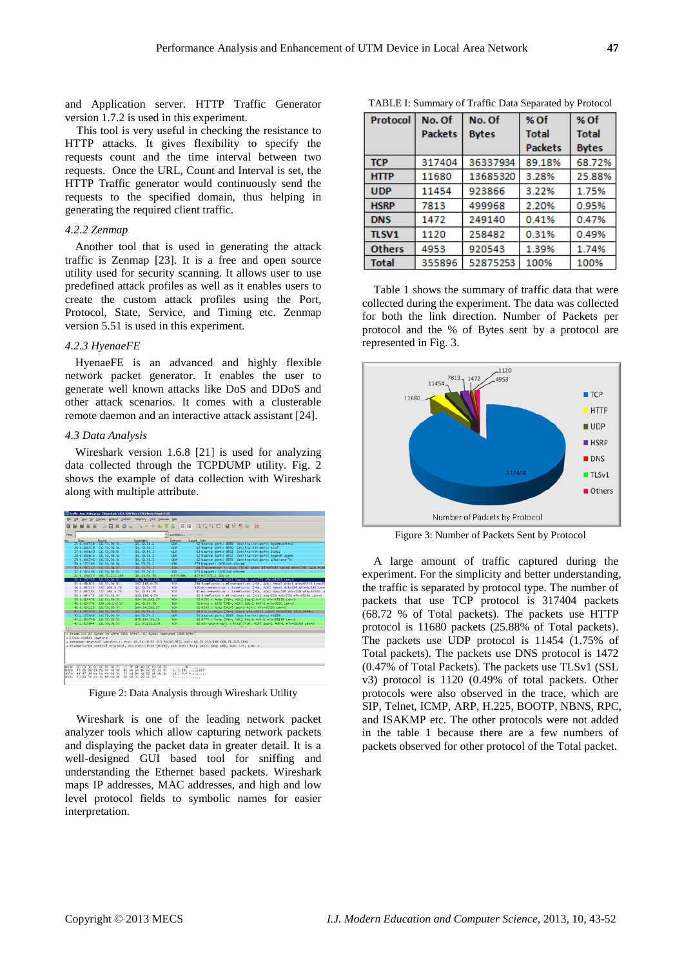and Application server. HTTP Traffic Generator version 1.7.2 is used in this experiment.

This tool is very useful in checking the resistance to HTTP attacks. It gives flexibility to specify the requests count and the time interval between two requests. Once the URL, Count and Interval is set, the HTTP Traffic generator would continuously send the requests to the specified domain, thus helping in generating the required client traffic.

## *4.2.2 Zenmap*

Another tool that is used in generating the attack traffic is Zenmap [23]. It is a free and open source utility used for security scanning. It allows user to use predefined attack profiles as well as it enables users to create the custom attack profiles using the Port, Protocol, State, Service, and Timing etc. Zenmap version 5.51 is used in this experiment.

# *4.2.3 HyenaeFE*

HyenaeFE is an advanced and highly flexible network packet generator. It enables the user to generate well known attacks like DoS and DDoS and other attack scenarios. It comes with a clusterable remote daemon and an interactive attack assistant [24].

## *4.3 Data Analysis*

Wireshark version 1.6.8 [21] is used for analyzing data collected through the TCPDUMP utility. Fig. 2 shows the example of data collection with Wireshark along with multiple attribute.



Figure 2: Data Analysis through Wireshark Utility

Wireshark is one of the leading network packet analyzer tools which allow capturing network packets and displaying the packet data in greater detail. It is a well-designed GUI based tool for sniffing and understanding the Ethernet based packets. Wireshark maps IP addresses, MAC addresses, and high and low level protocol fields to symbolic names for easier interpretation.

| Protocol      | No. Of         | No. Of       | % Of           | % Of         |
|---------------|----------------|--------------|----------------|--------------|
|               | <b>Packets</b> | <b>Bytes</b> | <b>Total</b>   | <b>Total</b> |
|               |                |              | <b>Packets</b> | <b>Bytes</b> |
| <b>TCP</b>    | 317404         | 36337934     | 89.18%         | 68.72%       |
| <b>HTTP</b>   | 11680          | 13685320     | 3.28%          | 25.88%       |
| <b>UDP</b>    | 11454          | 923866       | 3.22%          | 1.75%        |
| <b>HSRP</b>   | 7813           | 499968       | 2.20%          | 0.95%        |
| <b>DNS</b>    | 1472           | 249140       | 0.41%          | 0.47%        |
| <b>TLSV1</b>  | 1120           | 258482       | 0.31%          | 0.49%        |
| <b>Others</b> | 4953           | 920543       | 1.39%          | 1.74%        |
| <b>Total</b>  | 355896         | 52875253     | 100%           | 100%         |

TABLE I: Summary of Traffic Data Separated by Protocol

Table 1 shows the summary of traffic data that were collected during the experiment. The data was collected for both the link direction. Number of Packets per protocol and the % of Bytes sent by a protocol are represented in Fig. 3.



Figure 3: Number of Packets Sent by Protocol

A large amount of traffic captured during the experiment. For the simplicity and better understanding, the traffic is separated by protocol type. The number of packets that use TCP protocol is 317404 packets (68.72 % of Total packets). The packets use HTTP protocol is 11680 packets (25.88% of Total packets). The packets use UDP protocol is 11454 (1.75% of Total packets). The packets use DNS protocol is 1472 (0.47% of Total Packets). The packets use TLSv1 (SSL v3) protocol is 1120 (0.49% of total packets. Other protocols were also observed in the trace, which are SIP, Telnet, ICMP, ARP, H.225, BOOTP, NBNS, RPC, and ISAKMP etc. The other protocols were not added in the table 1 because there are a few numbers of packets observed for other protocol of the Total packet.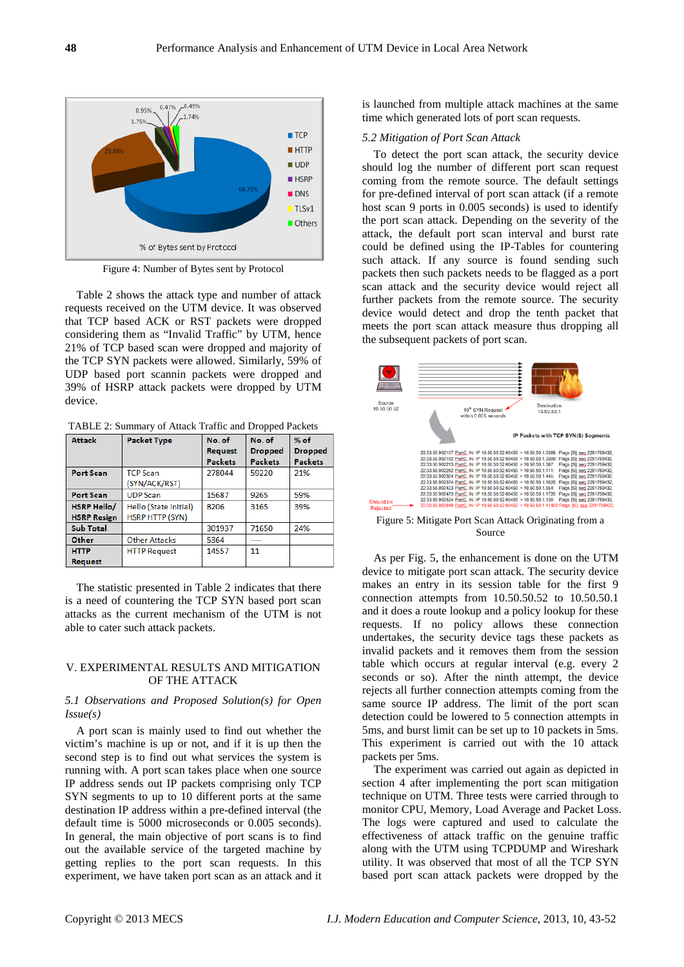

Figure 4: Number of Bytes sent by Protocol

Table 2 shows the attack type and number of attack requests received on the UTM device. It was observed that TCP based ACK or RST packets were dropped considering them as "Invalid Traffic" by UTM, hence 21% of TCP based scan were dropped and majority of the TCP SYN packets were allowed. Similarly, 59% of UDP based port scannin packets were dropped and 39% of HSRP attack packets were dropped by UTM device.

TABLE 2: Summary of Attack Traffic and Dropped Packets

| <b>Attack</b>      | <b>Packet Type</b>     |                | No. of         | $%$ of         |
|--------------------|------------------------|----------------|----------------|----------------|
|                    |                        | <b>Request</b> | <b>Dropped</b> | <b>Dropped</b> |
|                    |                        | <b>Packets</b> | <b>Packets</b> | <b>Packets</b> |
| <b>Port Scan</b>   | <b>TCP Scan</b>        | 278044         | 59220          | 21%            |
|                    | (SYN/ACK/RST)          |                |                |                |
| <b>Port Scan</b>   | <b>UDP</b> Scan        | 15687          | 9265           | 59%            |
| <b>HSRP Hello/</b> | Hello (State Initial)  |                | 3165           | 39%            |
| <b>HSRP Resign</b> | <b>HSRP HTTP (SYN)</b> |                |                |                |
| <b>Sub Total</b>   |                        | 301937         | 71650          | 24%            |
| Other              | <b>Other Attacks</b>   | 5364           |                |                |
| <b>HTTP</b>        | <b>HTTP Request</b>    | 14557          | 11             |                |
| <b>Request</b>     |                        |                |                |                |

The statistic presented in Table 2 indicates that there is a need of countering the TCP SYN based port scan attacks as the current mechanism of the UTM is not able to cater such attack packets.

## V. EXPERIMENTAL RESULTS AND MITIGATION OF THE ATTACK

## *5.1 Observations and Proposed Solution(s) for Open Issue(s)*

A port scan is mainly used to find out whether the victim's machine is up or not, and if it is up then the second step is to find out what services the system is running with. A port scan takes place when one source IP address sends out IP packets comprising only TCP SYN segments to up to 10 different ports at the same destination IP address within a pre-defined interval (the default time is 5000 microseconds or 0.005 seconds). In general, the main objective of port scans is to find out the available service of the targeted machine by getting replies to the port scan requests. In this experiment, we have taken port scan as an attack and it is launched from multiple attack machines at the same time which generated lots of port scan requests.

#### *5.2 Mitigation of Port Scan Attack*

To detect the port scan attack, the security device should log the number of different port scan request coming from the remote source. The default settings for pre-defined interval of port scan attack (if a remote host scan 9 ports in 0.005 seconds) is used to identify the port scan attack. Depending on the severity of the attack, the default port scan interval and burst rate could be defined using the IP-Tables for countering such attack. If any source is found sending such packets then such packets needs to be flagged as a port scan attack and the security device would reject all further packets from the remote source. The security device would detect and drop the tenth packet that meets the port scan attack measure thus dropping all the subsequent packets of port scan.



Figure 5: Mitigate Port Scan Attack Originating from a Source

As per Fig. 5, the enhancement is done on the UTM device to mitigate port scan attack. The security device makes an entry in its session table for the first 9 connection attempts from 10.50.50.52 to 10.50.50.1 and it does a route lookup and a policy lookup for these requests. If no policy allows these connection undertakes, the security device tags these packets as invalid packets and it removes them from the session table which occurs at regular interval (e.g. every 2 seconds or so). After the ninth attempt, the device rejects all further connection attempts coming from the same source IP address. The limit of the port scan detection could be lowered to 5 connection attempts in 5ms, and burst limit can be set up to 10 packets in 5ms. This experiment is carried out with the 10 attack packets per 5ms.

The experiment was carried out again as depicted in section 4 after implementing the port scan mitigation technique on UTM. Three tests were carried through to monitor CPU, Memory, Load Average and Packet Loss. The logs were captured and used to calculate the effectiveness of attack traffic on the genuine traffic along with the UTM using TCPDUMP and Wireshark utility. It was observed that most of all the TCP SYN based port scan attack packets were dropped by the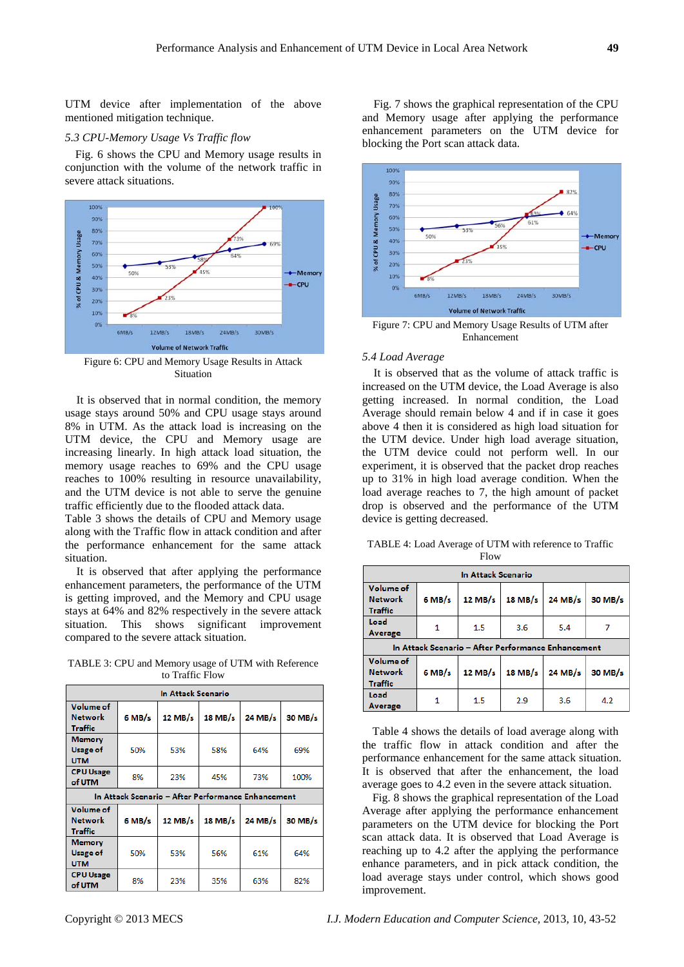UTM device after implementation of the above mentioned mitigation technique.

#### *5.3 CPU-Memory Usage Vs Traffic flow*

Fig. 6 shows the CPU and Memory usage results in conjunction with the volume of the network traffic in severe attack situations.



Figure 6: CPU and Memory Usage Results in Attack Situation

It is observed that in normal condition, the memory usage stays around 50% and CPU usage stays around 8% in UTM. As the attack load is increasing on the UTM device, the CPU and Memory usage are increasing linearly. In high attack load situation, the memory usage reaches to 69% and the CPU usage reaches to 100% resulting in resource unavailability, and the UTM device is not able to serve the genuine traffic efficiently due to the flooded attack data.

Table 3 shows the details of CPU and Memory usage along with the Traffic flow in attack condition and after the performance enhancement for the same attack situation.

It is observed that after applying the performance enhancement parameters, the performance of the UTM is getting improved, and the Memory and CPU usage stays at 64% and 82% respectively in the severe attack situation. This shows significant improvement compared to the severe attack situation.

TABLE 3: CPU and Memory usage of UTM with Reference to Traffic Flow

| In Attack Scenario                             |                                                          |                                                    |         |         |         |  |  |
|------------------------------------------------|----------------------------------------------------------|----------------------------------------------------|---------|---------|---------|--|--|
| Volume of<br><b>Network</b><br>Traffic         | $6$ MB/s                                                 | $12$ MB/s                                          | 18 MB/s | 24 MB/s | 30 MB/s |  |  |
| <b>Memory</b><br><b>Usage of</b><br><b>UTM</b> | 50%                                                      | 53%                                                | 58%     | 64%     | 69%     |  |  |
| <b>CPU Usage</b><br>of UTM                     | 8%                                                       | 23%                                                | 45%     | 73%     | 100%    |  |  |
|                                                |                                                          | In Attack Scenario - After Performance Enhancement |         |         |         |  |  |
| Volume of<br><b>Network</b><br><b>Traffic</b>  | $6$ MB/s<br>$12$ MB/s<br>$18$ MB/s<br>24 MB/s<br>30 MB/s |                                                    |         |         |         |  |  |
| <b>Memory</b><br><b>Usage of</b><br><b>UTM</b> | 50%                                                      | 53%                                                | 56%     | 61%     | 64%     |  |  |
| <b>CPU Usage</b><br>of UTM                     | 8%                                                       | 23%                                                | 35%     | 63%     | 82%     |  |  |

Fig. 7 shows the graphical representation of the CPU and Memory usage after applying the performance enhancement parameters on the UTM device for blocking the Port scan attack data.



Figure 7: CPU and Memory Usage Results of UTM after Enhancement

## *5.4 Load Average*

It is observed that as the volume of attack traffic is increased on the UTM device, the Load Average is also getting increased. In normal condition, the Load Average should remain below 4 and if in case it goes above 4 then it is considered as high load situation for the UTM device. Under high load average situation, the UTM device could not perform well. In our experiment, it is observed that the packet drop reaches up to 31% in high load average condition. When the load average reaches to 7, the high amount of packet drop is observed and the performance of the UTM device is getting decreased.

TABLE 4: Load Average of UTM with reference to Traffic Flow

| In Attack Scenario                            |          |                                                    |           |           |         |  |  |
|-----------------------------------------------|----------|----------------------------------------------------|-----------|-----------|---------|--|--|
| Volume of<br><b>Network</b><br><b>Traffic</b> | $6$ MB/s | $12$ MB/s                                          | $18$ MB/s | $24$ MB/s | 30 MB/s |  |  |
| Load<br><b>Average</b>                        | 1        | 1.5                                                | 3.6       | 5.4       |         |  |  |
|                                               |          | In Attack Scenario - After Performance Enhancement |           |           |         |  |  |
| Volume of<br><b>Network</b><br><b>Traffic</b> | $6$ MB/s | $12$ MB/s                                          | $18$ MB/s | 24 MB/s   | 30 MB/s |  |  |
| Load<br>Average                               | 1        | 1.5                                                | 2.9       | 3.6       | 4.2     |  |  |

Table 4 shows the details of load average along with the traffic flow in attack condition and after the performance enhancement for the same attack situation. It is observed that after the enhancement, the load average goes to 4.2 even in the severe attack situation.

Fig. 8 shows the graphical representation of the Load Average after applying the performance enhancement parameters on the UTM device for blocking the Port scan attack data. It is observed that Load Average is reaching up to 4.2 after the applying the performance enhance parameters, and in pick attack condition, the load average stays under control, which shows good improvement.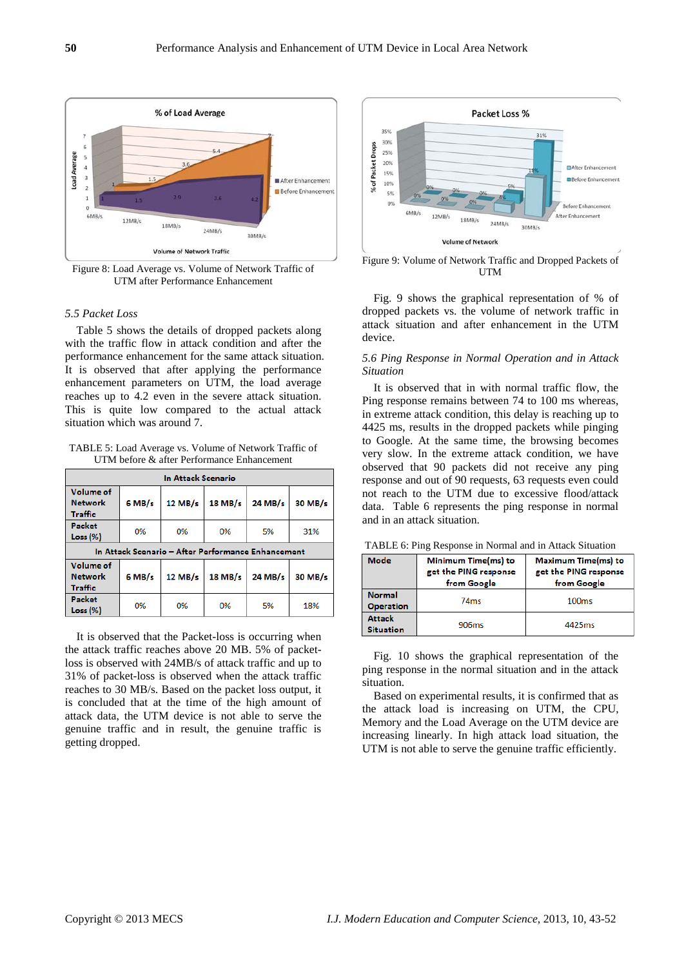

Figure 8: Load Average vs. Volume of Network Traffic of UTM after Performance Enhancement

## *5.5 Packet Loss*

Table 5 shows the details of dropped packets along with the traffic flow in attack condition and after the performance enhancement for the same attack situation. It is observed that after applying the performance enhancement parameters on UTM, the load average reaches up to 4.2 even in the severe attack situation. This is quite low compared to the actual attack situation which was around 7.

TABLE 5: Load Average vs. Volume of Network Traffic of UTM before & after Performance Enhancement

| In Attack Scenario                                 |          |           |           |         |         |  |  |
|----------------------------------------------------|----------|-----------|-----------|---------|---------|--|--|
| Volume of<br><b>Network</b><br>Traffic             | $6$ MB/s | $12$ MB/s | 18 MB/s   | 24 MB/s | 30 MB/s |  |  |
| Packet<br>Loss (%)                                 | 0%       | 0%        | 0%        | 5%      | 31%     |  |  |
| In Attack Scenario - After Performance Enhancement |          |           |           |         |         |  |  |
|                                                    |          |           |           |         |         |  |  |
| Volume of<br><b>Network</b><br>Traffic             | $6$ MB/s | $12$ MB/s | $18$ MB/s | 24 MB/s | 30 MB/s |  |  |

It is observed that the Packet-loss is occurring when the attack traffic reaches above 20 MB. 5% of packetloss is observed with 24MB/s of attack traffic and up to 31% of packet-loss is observed when the attack traffic reaches to 30 MB/s. Based on the packet loss output, it is concluded that at the time of the high amount of attack data, the UTM device is not able to serve the genuine traffic and in result, the genuine traffic is getting dropped.



Figure 9: Volume of Network Traffic and Dropped Packets of **UTM** 

Fig. 9 shows the graphical representation of % of dropped packets vs. the volume of network traffic in attack situation and after enhancement in the UTM device.

## *5.6 Ping Response in Normal Operation and in Attack Situation*

It is observed that in with normal traffic flow, the Ping response remains between 74 to 100 ms whereas, in extreme attack condition, this delay is reaching up to 4425 ms, results in the dropped packets while pinging to Google. At the same time, the browsing becomes very slow. In the extreme attack condition, we have observed that 90 packets did not receive any ping response and out of 90 requests, 63 requests even could not reach to the UTM due to excessive flood/attack data. Table 6 represents the ping response in normal and in an attack situation.

| Mode                              | Minimum Time(ms) to<br>get the PING response<br>from Google | <b>Maximum Time(ms) to</b><br>get the PING response<br>from Google |  |
|-----------------------------------|-------------------------------------------------------------|--------------------------------------------------------------------|--|
| <b>Normal</b><br><b>Operation</b> | 74 <sub>ms</sub>                                            | 100ms                                                              |  |
| <b>Attack</b><br><b>Situation</b> | 906 <sub>ms</sub>                                           | 4425ms                                                             |  |

TABLE 6: Ping Response in Normal and in Attack Situation

Fig. 10 shows the graphical representation of the ping response in the normal situation and in the attack situation.

Based on experimental results, it is confirmed that as the attack load is increasing on UTM, the CPU, Memory and the Load Average on the UTM device are increasing linearly. In high attack load situation, the UTM is not able to serve the genuine traffic efficiently.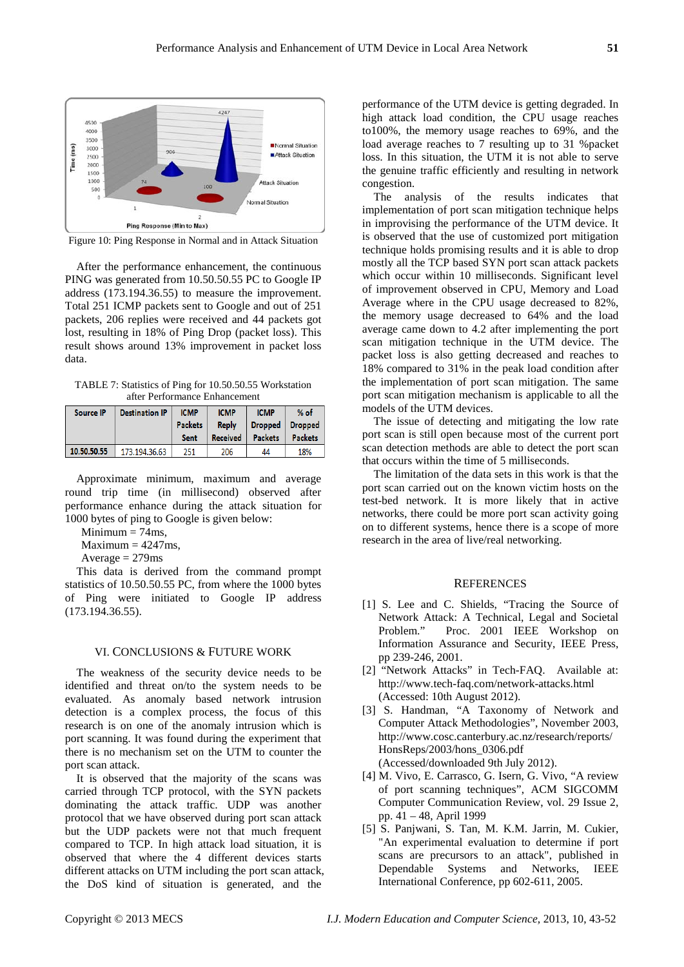

Figure 10: Ping Response in Normal and in Attack Situation

After the performance enhancement, the continuous PING was generated from 10.50.50.55 PC to Google IP address (173.194.36.55) to measure the improvement. Total 251 ICMP packets sent to Google and out of 251 packets, 206 replies were received and 44 packets got lost, resulting in 18% of Ping Drop (packet loss). This result shows around 13% improvement in packet loss data.

TABLE 7: Statistics of Ping for 10.50.50.55 Workstation after Performance Enhancement

| Source IP   | <b>Destination IP</b> | <b>ICMP</b><br><b>Packets</b><br>Sent | <b>ICMP</b><br>Reply<br><b>Received</b> | <b>ICMP</b><br><b>Dropped</b><br><b>Packets</b> | $%$ of<br><b>Dropped</b><br><b>Packets</b> |
|-------------|-----------------------|---------------------------------------|-----------------------------------------|-------------------------------------------------|--------------------------------------------|
| 10.50.50.55 | 173,194,36.63         | 251                                   | 206                                     | 44                                              | 18%                                        |

Approximate minimum, maximum and average round trip time (in millisecond) observed after performance enhance during the attack situation for 1000 bytes of ping to Google is given below:

Minimum  $= 74$ ms,

 $Maximum = 4247ms$ .

Average  $= 279$ ms

This data is derived from the command prompt statistics of 10.50.50.55 PC, from where the 1000 bytes of Ping were initiated to Google IP address (173.194.36.55).

## VI. CONCLUSIONS & FUTURE WORK

The weakness of the security device needs to be identified and threat on/to the system needs to be evaluated. As anomaly based network intrusion detection is a complex process, the focus of this research is on one of the anomaly intrusion which is port scanning. It was found during the experiment that there is no mechanism set on the UTM to counter the port scan attack.

It is observed that the majority of the scans was carried through TCP protocol, with the SYN packets dominating the attack traffic. UDP was another protocol that we have observed during port scan attack but the UDP packets were not that much frequent compared to TCP. In high attack load situation, it is observed that where the 4 different devices starts different attacks on UTM including the port scan attack, the DoS kind of situation is generated, and the

performance of the UTM device is getting degraded. In high attack load condition, the CPU usage reaches to100%, the memory usage reaches to 69%, and the load average reaches to 7 resulting up to 31 %packet loss. In this situation, the UTM it is not able to serve the genuine traffic efficiently and resulting in network congestion.

The analysis of the results indicates that implementation of port scan mitigation technique helps in improvising the performance of the UTM device. It is observed that the use of customized port mitigation technique holds promising results and it is able to drop mostly all the TCP based SYN port scan attack packets which occur within 10 milliseconds. Significant level of improvement observed in CPU, Memory and Load Average where in the CPU usage decreased to 82%, the memory usage decreased to 64% and the load average came down to 4.2 after implementing the port scan mitigation technique in the UTM device. The packet loss is also getting decreased and reaches to 18% compared to 31% in the peak load condition after the implementation of port scan mitigation. The same port scan mitigation mechanism is applicable to all the models of the UTM devices.

The issue of detecting and mitigating the low rate port scan is still open because most of the current port scan detection methods are able to detect the port scan that occurs within the time of 5 milliseconds.

The limitation of the data sets in this work is that the port scan carried out on the known victim hosts on the test-bed network. It is more likely that in active networks, there could be more port scan activity going on to different systems, hence there is a scope of more research in the area of live/real networking.

## **REFERENCES**

- [1] S. Lee and C. Shields, "Tracing the Source of Network Attack: A Technical, Legal and Societal Problem." Proc. 2001 IEEE Workshop on Information Assurance and Security, IEEE Press, pp 239-246, 2001.
- [2] "Network Attacks" in Tech-FAQ. Available at: http://www.tech-faq.com/network-attacks.html (Accessed: 10th August 2012).
- [3] S. Handman, "A Taxonomy of Network and Computer Attack Methodologies", November 2003, http://www.cosc.canterbury.ac.nz/research/reports/ HonsReps/2003/hons\_0306.pdf (Accessed/downloaded 9th July 2012).
- [4] M. Vivo, E. Carrasco, G. Isern, G. Vivo, "A review of port scanning techniques", ACM SIGCOMM Computer Communication Review, vol. 29 Issue 2, pp. 41 – 48, April 1999
- [5] S. Panjwani, S. Tan, M. K.M. Jarrin, M. Cukier, "An experimental evaluation to determine if port scans are precursors to an attack", published in Dependable Systems and Networks, IEEE International Conference, pp 602-611, 2005.